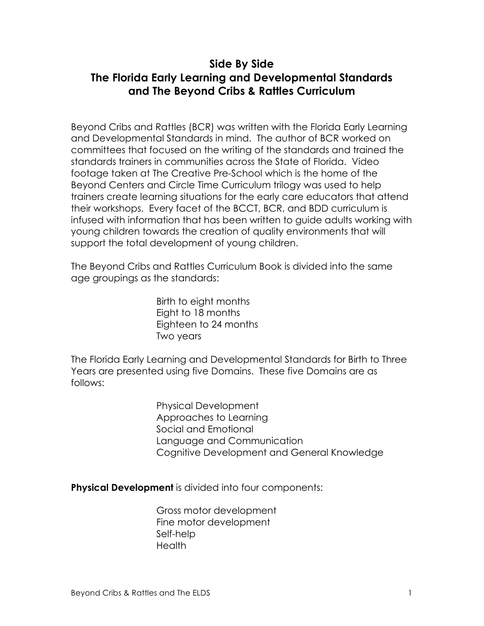## **Side By Side The Florida Early Learning and Developmental Standards and The Beyond Cribs & Rattles Curriculum**

Beyond Cribs and Rattles (BCR) was written with the Florida Early Learning and Developmental Standards in mind. The author of BCR worked on committees that focused on the writing of the standards and trained the standards trainers in communities across the State of Florida. Video footage taken at The Creative Pre-School which is the home of the Beyond Centers and Circle Time Curriculum trilogy was used to help trainers create learning situations for the early care educators that attend their workshops. Every facet of the BCCT, BCR, and BDD curriculum is infused with information that has been written to guide adults working with young children towards the creation of quality environments that will support the total development of young children.

The Beyond Cribs and Rattles Curriculum Book is divided into the same age groupings as the standards:

> Birth to eight months Eight to 18 months Eighteen to 24 months Two years

The Florida Early Learning and Developmental Standards for Birth to Three Years are presented using five Domains. These five Domains are as follows:

> Physical Development Approaches to Learning Social and Emotional Language and Communication Cognitive Development and General Knowledge

**Physical Development** is divided into four components:

Gross motor development Fine motor development Self-help **Health**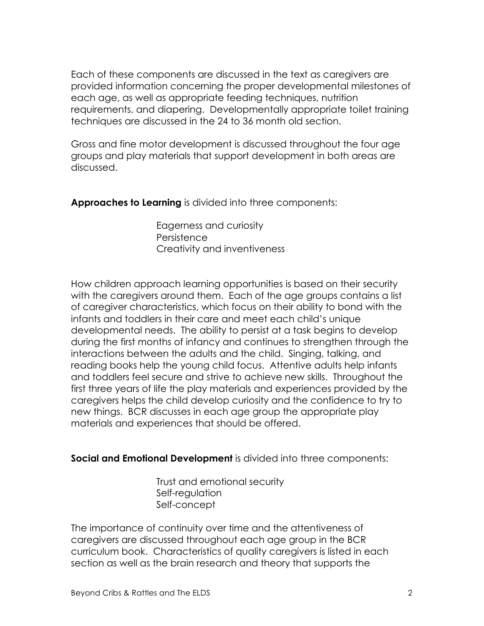Each of these components are discussed in the text as caregivers are provided information concerning the proper developmental milestones of each age, as well as appropriate feeding techniques, nutrition requirements, and diapering. Developmentally appropriate toilet training techniques are discussed in the 24 to 36 month old section.

Gross and fine motor development is discussed throughout the four age groups and play materials that support development in both areas are discussed.

**Approaches to Learning** is divided into three components:

Eagerness and curiosity **Persistence** Creativity and inventiveness

How children approach learning opportunities is based on their security with the caregivers around them. Each of the age groups contains a list of caregiver characteristics, which focus on their ability to bond with the infants and toddlers in their care and meet each child's unique developmental needs. The ability to persist at a task begins to develop during the first months of infancy and continues to strengthen through the interactions between the adults and the child. Singing, talking, and reading books help the young child focus. Attentive adults help infants and toddlers feel secure and strive to achieve new skills. Throughout the first three years of life the play materials and experiences provided by the caregivers helps the child develop curiosity and the confidence to try to new things. BCR discusses in each age group the appropriate play materials and experiences that should be offered.

**Social and Emotional Development** is divided into three components:

Trust and emotional security Self-regulation Self-concept

The importance of continuity over time and the attentiveness of caregivers are discussed throughout each age group in the BCR curriculum book. Characteristics of quality caregivers is listed in each section as well as the brain research and theory that supports the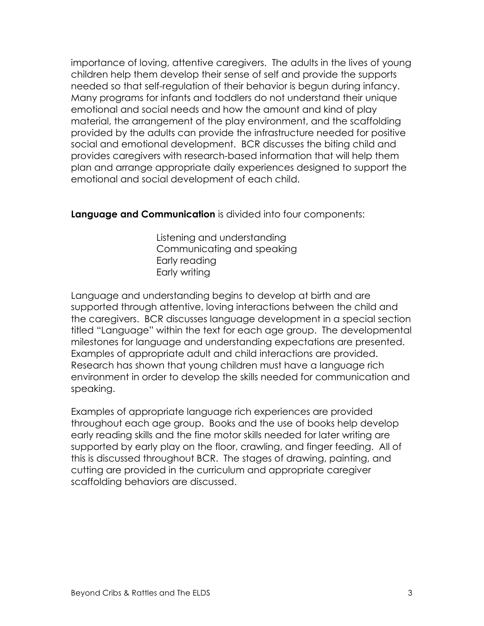importance of loving, attentive caregivers. The adults in the lives of young children help them develop their sense of self and provide the supports needed so that self-regulation of their behavior is begun during infancy. Many programs for infants and toddlers do not understand their unique emotional and social needs and how the amount and kind of play material, the arrangement of the play environment, and the scaffolding provided by the adults can provide the infrastructure needed for positive social and emotional development. BCR discusses the biting child and provides caregivers with research-based information that will help them plan and arrange appropriate daily experiences designed to support the emotional and social development of each child.

## **Language and Communication** is divided into four components:

Listening and understanding Communicating and speaking Early reading Early writing

Language and understanding begins to develop at birth and are supported through attentive, loving interactions between the child and the caregivers. BCR discusses language development in a special section titled "Language" within the text for each age group. The developmental milestones for language and understanding expectations are presented. Examples of appropriate adult and child interactions are provided. Research has shown that young children must have a language rich environment in order to develop the skills needed for communication and speaking.

Examples of appropriate language rich experiences are provided throughout each age group. Books and the use of books help develop early reading skills and the fine motor skills needed for later writing are supported by early play on the floor, crawling, and finger feeding. All of this is discussed throughout BCR. The stages of drawing, painting, and cutting are provided in the curriculum and appropriate caregiver scaffolding behaviors are discussed.